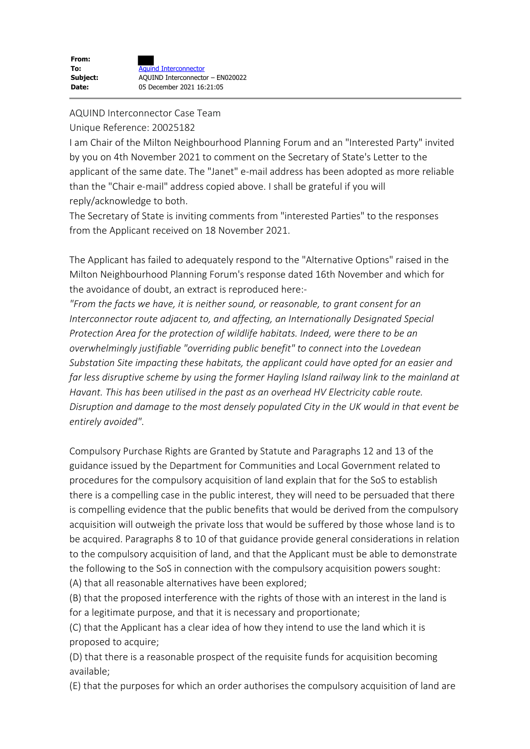### AQUIND Interconnector Case Team

### Unique Reference: 20025182

I am Chair of the Milton Neighbourhood Planning Forum and an "Interested Party" invited by you on 4th November 2021 to comment on the Secretary of State's Letter to the applicant of the same date. The "Janet" e-mail address has been adopted as more reliable than the "Chair e-mail" address copied above. I shall be grateful if you will reply/acknowledge to both.

The Secretary of State is inviting comments from "interested Parties" to the responses from the Applicant received on 18 November 2021.

The Applicant has failed to adequately respond to the "Alternative Options" raised in the Milton Neighbourhood Planning Forum's response dated 16th November and which for the avoidance of doubt, an extract is reproduced here:-

*"From the facts we have, it is neither sound, or reasonable, to grant consent for an Interconnector route adjacent to, and affecting, an Internationally Designated Special Protection Area for the protection of wildlife habitats. Indeed, were there to be an overwhelmingly justifiable "overriding public benefit" to connect into the Lovedean Substation Site impacting these habitats, the applicant could have opted for an easier and far less disruptive scheme by using the former Hayling Island railway link to the mainland at Havant. This has been utilised in the past as an overhead HV Electricity cable route. Disruption and damage to the most densely populated City in the UK would in that event be entirely avoided"*.

Compulsory Purchase Rights are Granted by Statute and Paragraphs 12 and 13 of the guidance issued by the Department for Communities and Local Government related to procedures for the compulsory acquisition of land explain that for the SoS to establish there is a compelling case in the public interest, they will need to be persuaded that there is compelling evidence that the public benefits that would be derived from the compulsory acquisition will outweigh the private loss that would be suffered by those whose land is to be acquired. Paragraphs 8 to 10 of that guidance provide general considerations in relation to the compulsory acquisition of land, and that the Applicant must be able to demonstrate the following to the SoS in connection with the compulsory acquisition powers sought: (A) that all reasonable alternatives have been explored;

(B) that the proposed interference with the rights of those with an interest in the land is for a legitimate purpose, and that it is necessary and proportionate;

(C) that the Applicant has a clear idea of how they intend to use the land which it is proposed to acquire;

(D) that there is a reasonable prospect of the requisite funds for acquisition becoming available;

(E) that the purposes for which an order authorises the compulsory acquisition of land are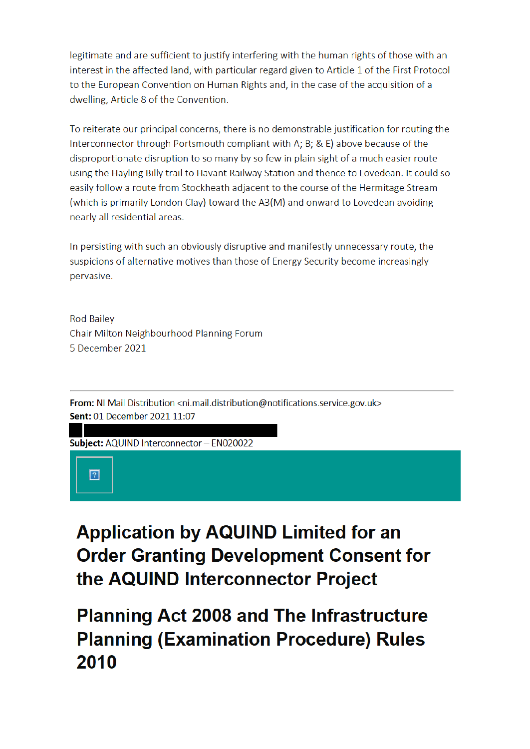legitimate and are sufficient to justify interfering with the human rights of those with an interest in the affected land, with particular regard given to Article 1 of the First Protocol to the European Convention on Human Rights and, in the case of the acquisition of a dwelling, Article 8 of the Convention.

To reiterate our principal concerns, there is no demonstrable justification for routing the Interconnector through Portsmouth compliant with A; B; & E) above because of the disproportionate disruption to so many by so few in plain sight of a much easier route using the Hayling Billy trail to Havant Railway Station and thence to Lovedean. It could so easily follow a route from Stockheath adjacent to the course of the Hermitage Stream (which is primarily London Clay) toward the A3(M) and onward to Lovedean avoiding nearly all residential areas.

In persisting with such an obviously disruptive and manifestly unnecessary route, the suspicions of alternative motives than those of Energy Security become increasingly pervasive.

**Rod Bailey** Chair Milton Neighbourhood Planning Forum 5 December 2021

From: NI Mail Distribution <ni.mail.distribution@notifications.service.gov.uk> Sent: 01 December 2021 11:07

Subject: AQUIND Interconnector - EN020022

 $\boxed{?}$ 

**Application by AQUIND Limited for an Order Granting Development Consent for** the AQUIND Interconnector Project

## **Planning Act 2008 and The Infrastructure Planning (Examination Procedure) Rules** 2010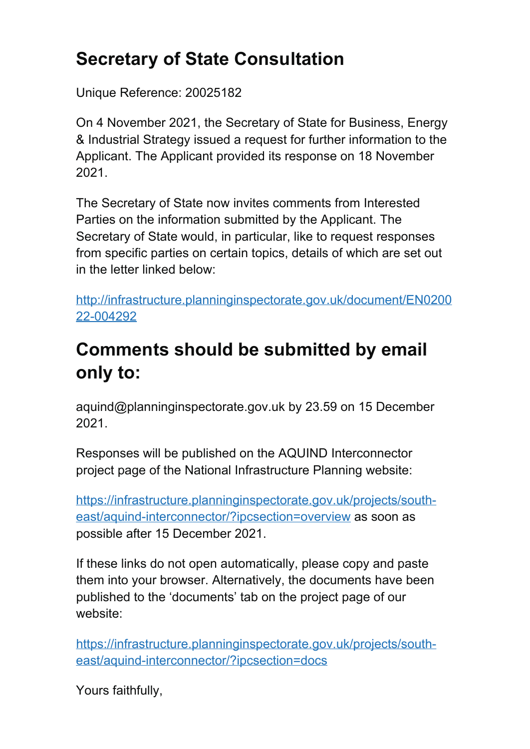# **Secretary of State Consultation**

Unique Reference: 20025182

On 4 November 2021, the Secretary of State for Business, Energy & Industrial Strategy issued a request for further information to the Applicant. The Applicant provided its response on 18 November 2021.

The Secretary of State now invites comments from Interested Parties on the information submitted by the Applicant. The Secretary of State would, in particular, like to request responses from specific parties on certain topics, details of which are set out in the letter linked below:

http://infrastructure.planninginspectorate.gov.uk/document/EN0200 22-004292

## **Comments should be submitted by email only to:**

aquind@planninginspectorate.gov.uk by 23.59 on 15 December 2021.

Responses will be published on the AQUIND Interconnector project page of the National Infrastructure Planning website:

https://infrastructure.planninginspectorate.gov.uk/projects/southeast/aquind-interconnector/?ipcsection=overview as soon as possible after 15 December 2021.

If these links do not open automatically, please copy and paste them into your browser. Alternatively, the documents have been published to the 'documents' tab on the project page of our website:

https://infrastructure.planninginspectorate.gov.uk/projects/southeast/aquind-interconnector/?ipcsection=docs

Yours faithfully,